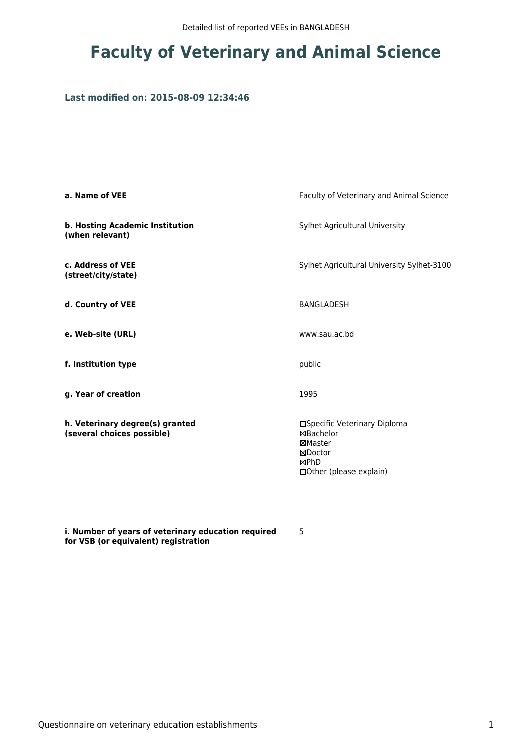## **Faculty of Veterinary and Animal Science**

#### **Last modified on: 2015-08-09 12:34:46**

| a. Name of VEE                                                | Faculty of Veterinary and Animal Science                                                            |  |
|---------------------------------------------------------------|-----------------------------------------------------------------------------------------------------|--|
| b. Hosting Academic Institution<br>(when relevant)            | Sylhet Agricultural University                                                                      |  |
| c. Address of VEE<br>(street/city/state)                      | Sylhet Agricultural University Sylhet-3100                                                          |  |
| d. Country of VEE                                             | BANGLADESH                                                                                          |  |
| e. Web-site (URL)                                             | www.sau.ac.bd                                                                                       |  |
| f. Institution type                                           | public                                                                                              |  |
| g. Year of creation                                           | 1995                                                                                                |  |
| h. Veterinary degree(s) granted<br>(several choices possible) | □Specific Veterinary Diploma<br>⊠Bachelor<br>⊠Master<br>⊠Doctor<br>⊠PhD<br>□ Other (please explain) |  |

**i. Number of years of veterinary education required for VSB (or equivalent) registration**

5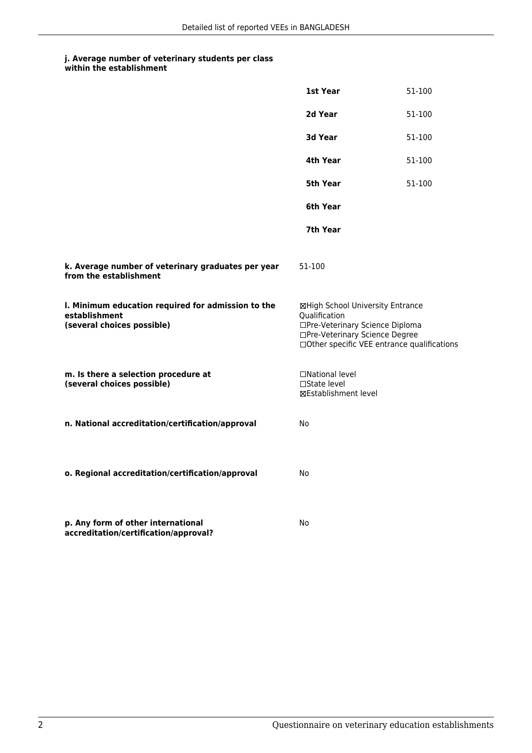## **j. Average number of veterinary students per class**

**within the establishment**

|                                                                                                   | 1st Year                                                                                                                                                              | 51-100 |
|---------------------------------------------------------------------------------------------------|-----------------------------------------------------------------------------------------------------------------------------------------------------------------------|--------|
|                                                                                                   | 2d Year                                                                                                                                                               | 51-100 |
|                                                                                                   | <b>3d Year</b>                                                                                                                                                        | 51-100 |
|                                                                                                   | 4th Year                                                                                                                                                              | 51-100 |
|                                                                                                   | 5th Year                                                                                                                                                              | 51-100 |
|                                                                                                   | 6th Year                                                                                                                                                              |        |
|                                                                                                   | 7th Year                                                                                                                                                              |        |
| k. Average number of veterinary graduates per year<br>from the establishment                      | 51-100                                                                                                                                                                |        |
| I. Minimum education required for admission to the<br>establishment<br>(several choices possible) | ⊠High School University Entrance<br>Qualification<br>□Pre-Veterinary Science Diploma<br>□Pre-Veterinary Science Degree<br>□Other specific VEE entrance qualifications |        |
| m. Is there a selection procedure at<br>(several choices possible)                                | □National level<br>□State level<br>⊠Establishment level                                                                                                               |        |
| n. National accreditation/certification/approval                                                  | No                                                                                                                                                                    |        |
| o. Regional accreditation/certification/approval                                                  | No                                                                                                                                                                    |        |
| p. Any form of other international<br>accreditation/certification/approval?                       | No                                                                                                                                                                    |        |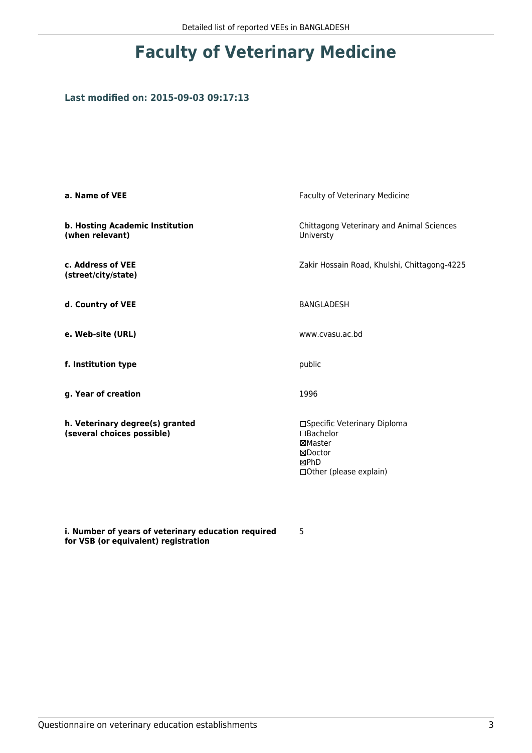# **Faculty of Veterinary Medicine**

#### **Last modified on: 2015-09-03 09:17:13**

| a. Name of VEE                                                | Faculty of Veterinary Medicine                                                                               |
|---------------------------------------------------------------|--------------------------------------------------------------------------------------------------------------|
| b. Hosting Academic Institution<br>(when relevant)            | Chittagong Veterinary and Animal Sciences<br>Universty                                                       |
| c. Address of VEE<br>(street/city/state)                      | Zakir Hossain Road, Khulshi, Chittagong-4225                                                                 |
| d. Country of VEE                                             | <b>BANGLADESH</b>                                                                                            |
| e. Web-site (URL)                                             | www.cvasu.ac.bd                                                                                              |
| f. Institution type                                           | public                                                                                                       |
| g. Year of creation                                           | 1996                                                                                                         |
| h. Veterinary degree(s) granted<br>(several choices possible) | □Specific Veterinary Diploma<br>$\square$ Bachelor<br>⊠Master<br>⊠Doctor<br>⊠PhD<br>□ Other (please explain) |

**i. Number of years of veterinary education required for VSB (or equivalent) registration**

5